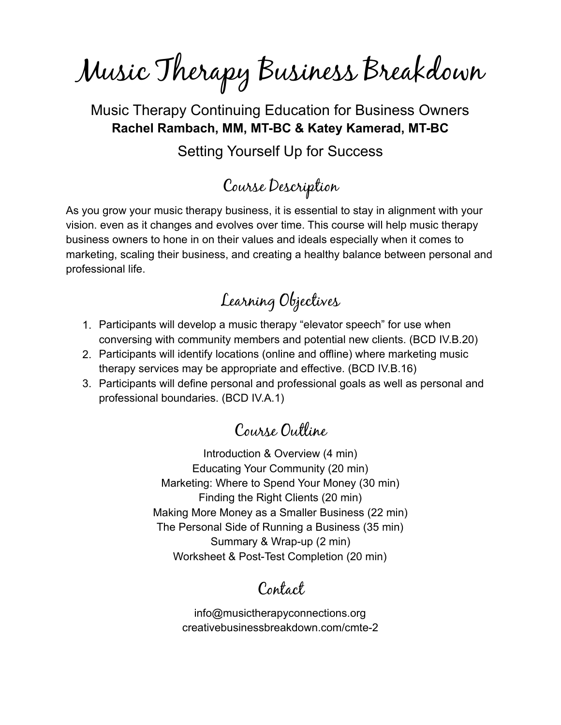Music Therapy Business Breakdown

Music Therapy Continuing Education for Business Owners **Rachel Rambach, MM, MT-BC & Katey Kamerad, MT-BC**

Setting Yourself Up for Success

# Course Description

As you grow your music therapy business, it is essential to stay in alignment with your vision. even as it changes and evolves over time. This course will help music therapy business owners to hone in on their values and ideals especially when it comes to marketing, scaling their business, and creating a healthy balance between personal and professional life.

# Learning Objectives

- 1. Participants will develop a music therapy "elevator speech" for use when conversing with community members and potential new clients. (BCD IV.B.20)
- 2. Participants will identify locations (online and offline) where marketing music therapy services may be appropriate and effective. (BCD IV.B.16)
- 3. Participants will define personal and professional goals as well as personal and professional boundaries. (BCD IV.A.1)

#### Course Outline

Introduction & Overview (4 min) Educating Your Community (20 min) Marketing: Where to Spend Your Money (30 min) Finding the Right Clients (20 min) Making More Money as a Smaller Business (22 min) The Personal Side of Running a Business (35 min) Summary & Wrap-up (2 min) Worksheet & Post-Test Completion (20 min)

### Contact

info@musictherapyconnections.org creativebusinessbreakdown.com/cmte-2